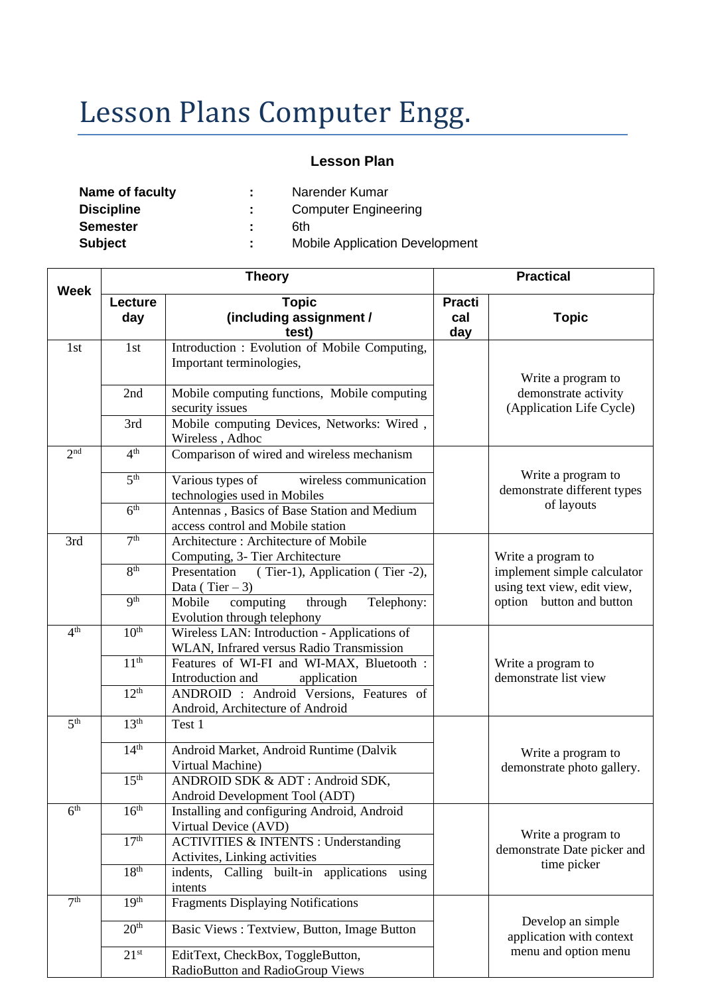# Lesson Plans Computer Engg.

## **Lesson Plan**

| Name of faculty   | ж. | Narender Kumar                        |
|-------------------|----|---------------------------------------|
| <b>Discipline</b> |    | <b>Computer Engineering</b>           |
| <b>Semester</b>   |    | 6th                                   |
| <b>Subject</b>    | ÷. | <b>Mobile Application Development</b> |
|                   |    |                                       |

| <b>Week</b>         | <b>Theory</b>    |                                                                                          |                             | <b>Practical</b>                                                 |  |  |
|---------------------|------------------|------------------------------------------------------------------------------------------|-----------------------------|------------------------------------------------------------------|--|--|
|                     | Lecture<br>day   | <b>Topic</b><br>(including assignment /<br>test)                                         | <b>Practi</b><br>cal<br>day | <b>Topic</b>                                                     |  |  |
| 1st                 | 1st              | Introduction: Evolution of Mobile Computing,<br>Important terminologies,                 |                             | Write a program to                                               |  |  |
|                     | 2nd              | Mobile computing functions, Mobile computing<br>security issues                          |                             | demonstrate activity<br>(Application Life Cycle)                 |  |  |
|                     | 3rd              | Mobile computing Devices, Networks: Wired,<br>Wireless, Adhoc                            |                             |                                                                  |  |  |
| 2 <sub>nd</sub>     | 4 <sup>th</sup>  | Comparison of wired and wireless mechanism                                               |                             |                                                                  |  |  |
|                     | 5 <sup>th</sup>  | wireless communication<br>Various types of<br>technologies used in Mobiles               |                             | Write a program to<br>demonstrate different types<br>of layouts  |  |  |
|                     | 6 <sup>th</sup>  | Antennas, Basics of Base Station and Medium<br>access control and Mobile station         |                             |                                                                  |  |  |
| 3rd                 | 7 <sup>th</sup>  | Architecture: Architecture of Mobile<br>Computing, 3- Tier Architecture                  |                             | Write a program to                                               |  |  |
|                     | 8 <sup>th</sup>  | Presentation (Tier-1), Application (Tier-2),<br>Data (Tier $-3$ )                        |                             | implement simple calculator<br>using text view, edit view,       |  |  |
|                     | q <sup>th</sup>  | Mobile<br>computing<br>through<br>Telephony:<br>Evolution through telephony              |                             | option button and button                                         |  |  |
| 4 <sup>th</sup>     | 10 <sup>th</sup> | Wireless LAN: Introduction - Applications of<br>WLAN, Infrared versus Radio Transmission |                             |                                                                  |  |  |
|                     | 11 <sup>th</sup> | Features of WI-FI and WI-MAX, Bluetooth :<br>Introduction and<br>application             |                             | Write a program to<br>demonstrate list view                      |  |  |
|                     | 12 <sup>th</sup> | ANDROID : Android Versions, Features of<br>Android, Architecture of Android              |                             |                                                                  |  |  |
| $\overline{5^{th}}$ | 13 <sup>th</sup> | Test 1                                                                                   |                             |                                                                  |  |  |
|                     | 14 <sup>th</sup> | Android Market, Android Runtime (Dalvik<br>Virtual Machine)                              |                             | Write a program to<br>demonstrate photo gallery.                 |  |  |
|                     | 15 <sup>th</sup> | ANDROID SDK & ADT: Android SDK,<br>Android Development Tool (ADT)                        |                             |                                                                  |  |  |
| 6 <sup>th</sup>     | 16 <sup>th</sup> | Installing and configuring Android, Android<br>Virtual Device (AVD)                      |                             |                                                                  |  |  |
|                     | 17 <sup>th</sup> | <b>ACTIVITIES &amp; INTENTS : Understanding</b><br>Activites, Linking activities         |                             | Write a program to<br>demonstrate Date picker and<br>time picker |  |  |
|                     | 18 <sup>th</sup> | Calling built-in applications using<br>indents,<br>intents                               |                             |                                                                  |  |  |
| 7 <sup>th</sup>     | 19 <sup>th</sup> | <b>Fragments Displaying Notifications</b>                                                |                             |                                                                  |  |  |
|                     | 20 <sup>th</sup> | Basic Views: Textview, Button, Image Button                                              |                             | Develop an simple<br>application with context                    |  |  |
|                     | $21^{st}$        | EditText, CheckBox, ToggleButton,<br>RadioButton and RadioGroup Views                    |                             | menu and option menu                                             |  |  |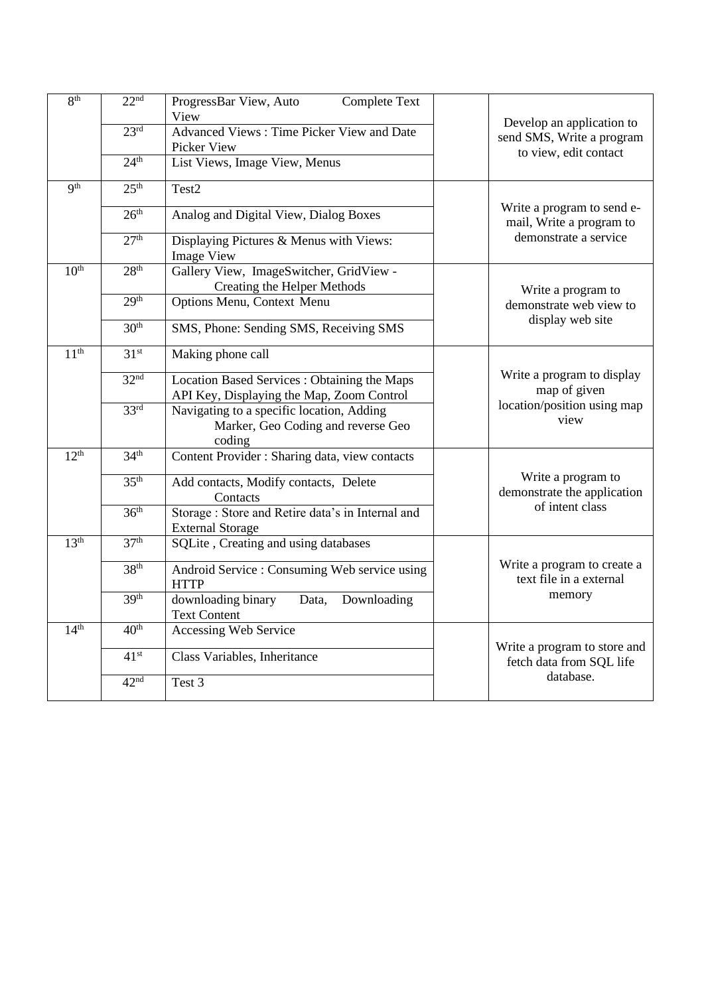| 8 <sup>th</sup>  | 22 <sup>nd</sup> | ProgressBar View, Auto<br><b>Complete Text</b><br>View                                    |                                                          |  |
|------------------|------------------|-------------------------------------------------------------------------------------------|----------------------------------------------------------|--|
|                  | 23 <sup>rd</sup> | <b>Advanced Views: Time Picker View and Date</b><br>Picker View                           | Develop an application to<br>send SMS, Write a program   |  |
|                  | 24 <sup>th</sup> | List Views, Image View, Menus                                                             | to view, edit contact                                    |  |
| <b>gth</b>       | 25 <sup>th</sup> | Test2                                                                                     |                                                          |  |
|                  | 26 <sup>th</sup> | Analog and Digital View, Dialog Boxes                                                     | Write a program to send e-<br>mail, Write a program to   |  |
|                  | 27 <sup>th</sup> | Displaying Pictures & Menus with Views:<br><b>Image View</b>                              | demonstrate a service                                    |  |
| 10 <sup>th</sup> | 28 <sup>th</sup> | Gallery View, ImageSwitcher, GridView -<br><b>Creating the Helper Methods</b>             | Write a program to                                       |  |
|                  | 29 <sup>th</sup> | Options Menu, Context Menu                                                                | demonstrate web view to                                  |  |
|                  | 30 <sup>th</sup> | SMS, Phone: Sending SMS, Receiving SMS                                                    | display web site                                         |  |
| 11 <sup>th</sup> | 31 <sup>st</sup> | Making phone call                                                                         |                                                          |  |
|                  | 32 <sup>nd</sup> | Location Based Services : Obtaining the Maps<br>API Key, Displaying the Map, Zoom Control | Write a program to display<br>map of given               |  |
|                  | 33 <sup>rd</sup> | Navigating to a specific location, Adding<br>Marker, Geo Coding and reverse Geo<br>coding | location/position using map<br>view                      |  |
| 12 <sup>th</sup> | 34 <sup>th</sup> | Content Provider : Sharing data, view contacts                                            |                                                          |  |
| 35 <sup>th</sup> |                  | Add contacts, Modify contacts, Delete<br>Contacts                                         | Write a program to<br>demonstrate the application        |  |
|                  | 36 <sup>th</sup> | Storage: Store and Retire data's in Internal and<br><b>External Storage</b>               | of intent class                                          |  |
| 13 <sup>th</sup> | 37 <sup>th</sup> | SQLite, Creating and using databases                                                      |                                                          |  |
|                  | 38 <sup>th</sup> | Android Service : Consuming Web service using<br><b>HTTP</b>                              | Write a program to create a<br>text file in a external   |  |
|                  | 39 <sup>th</sup> | downloading binary<br>Data,<br>Downloading<br><b>Text Content</b>                         | memory                                                   |  |
| 14 <sup>th</sup> | 40 <sup>th</sup> | Accessing Web Service                                                                     |                                                          |  |
|                  | $41^{st}$        | Class Variables, Inheritance                                                              | Write a program to store and<br>fetch data from SQL life |  |
|                  | 42 <sup>nd</sup> | Test 3                                                                                    | database.                                                |  |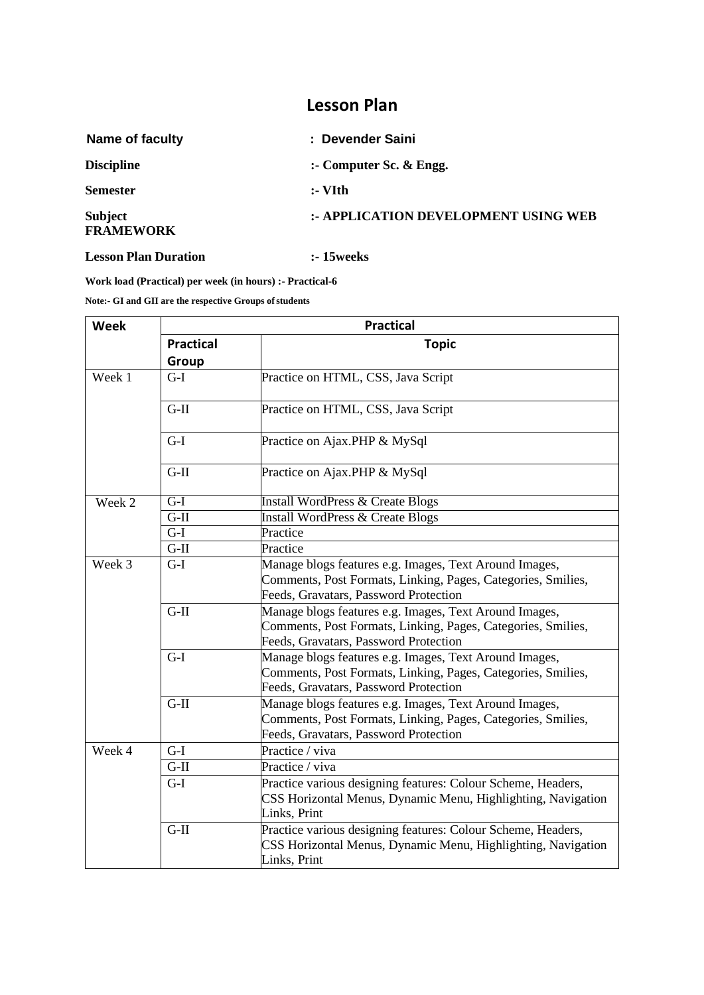## **Lesson Plan**

| Name of faculty                    | : Devender Saini                     |
|------------------------------------|--------------------------------------|
| <b>Discipline</b>                  | :- Computer Sc. $&$ Engg.            |
| <b>Semester</b>                    | $:$ VIth                             |
| <b>Subject</b><br><b>FRAMEWORK</b> | :- APPLICATION DEVELOPMENT USING WEB |
|                                    |                                      |

#### **Lesson Plan Duration :- 15weeks**

**Work load (Practical) per week (in hours) :- Practical-6**

**Note:- GI and GII are the respective Groups ofstudents**

| <b>Week</b> | <b>Practical</b>  |                                                                                                                                                                 |  |  |
|-------------|-------------------|-----------------------------------------------------------------------------------------------------------------------------------------------------------------|--|--|
|             | <b>Practical</b>  | <b>Topic</b>                                                                                                                                                    |  |  |
|             | Group             |                                                                                                                                                                 |  |  |
| Week 1      | $G-I$             | Practice on HTML, CSS, Java Script                                                                                                                              |  |  |
|             | $G-II$            | Practice on HTML, CSS, Java Script                                                                                                                              |  |  |
|             | $G-I$             | Practice on Ajax.PHP & MySql                                                                                                                                    |  |  |
|             | $G-II$            | Practice on Ajax.PHP & MySql                                                                                                                                    |  |  |
| Week 2      | $G-I$             | Install WordPress & Create Blogs                                                                                                                                |  |  |
|             | $G-II$            | <b>Install WordPress &amp; Create Blogs</b>                                                                                                                     |  |  |
|             | $G-I$             | Practice                                                                                                                                                        |  |  |
|             | $\overline{G-II}$ | Practice                                                                                                                                                        |  |  |
| Week 3      | $G-I$             | Manage blogs features e.g. Images, Text Around Images,<br>Comments, Post Formats, Linking, Pages, Categories, Smilies,<br>Feeds, Gravatars, Password Protection |  |  |
|             | $G-II$            | Manage blogs features e.g. Images, Text Around Images,<br>Comments, Post Formats, Linking, Pages, Categories, Smilies,<br>Feeds, Gravatars, Password Protection |  |  |
|             | $G-I$             | Manage blogs features e.g. Images, Text Around Images,<br>Comments, Post Formats, Linking, Pages, Categories, Smilies,<br>Feeds, Gravatars, Password Protection |  |  |
|             | $G-II$            | Manage blogs features e.g. Images, Text Around Images,<br>Comments, Post Formats, Linking, Pages, Categories, Smilies,<br>Feeds, Gravatars, Password Protection |  |  |
| Week 4      | $G-I$             | Practice / viva                                                                                                                                                 |  |  |
|             | $G-II$            | Practice / viva                                                                                                                                                 |  |  |
|             | $G-I$             | Practice various designing features: Colour Scheme, Headers,<br>CSS Horizontal Menus, Dynamic Menu, Highlighting, Navigation<br>Links, Print                    |  |  |
|             | $G-II$            | Practice various designing features: Colour Scheme, Headers,<br>CSS Horizontal Menus, Dynamic Menu, Highlighting, Navigation<br>Links, Print                    |  |  |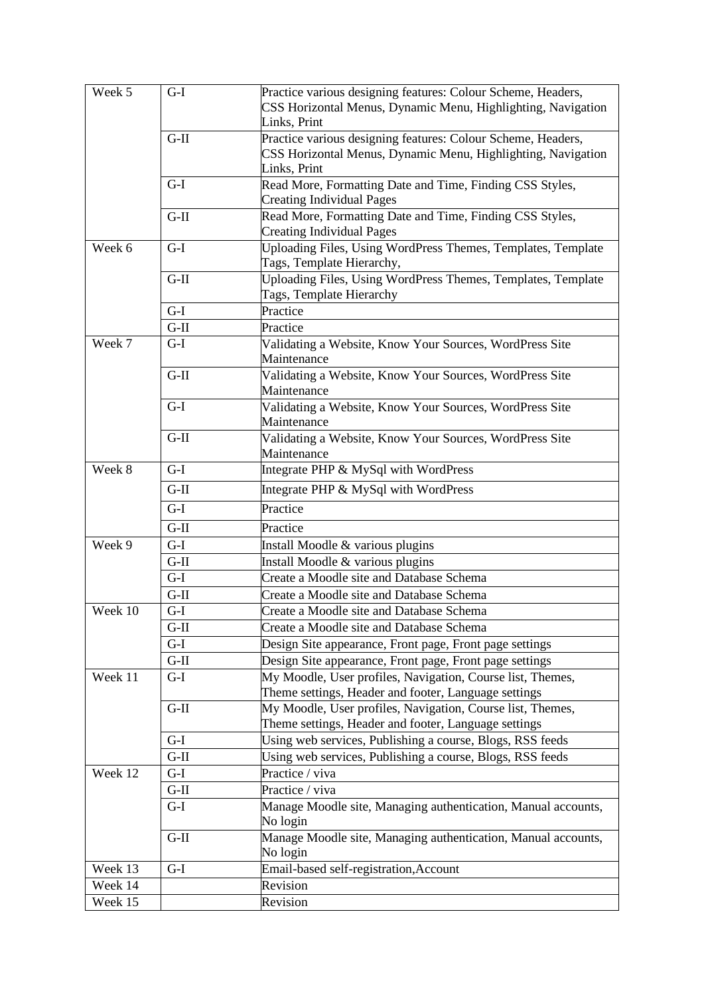| Week 5  | $G-I$  | Practice various designing features: Colour Scheme, Headers,<br>CSS Horizontal Menus, Dynamic Menu, Highlighting, Navigation<br>Links, Print |  |  |
|---------|--------|----------------------------------------------------------------------------------------------------------------------------------------------|--|--|
|         | $G-II$ | Practice various designing features: Colour Scheme, Headers,<br>CSS Horizontal Menus, Dynamic Menu, Highlighting, Navigation<br>Links, Print |  |  |
|         | $G-I$  | Read More, Formatting Date and Time, Finding CSS Styles,<br><b>Creating Individual Pages</b>                                                 |  |  |
|         | $G-II$ | Read More, Formatting Date and Time, Finding CSS Styles,<br><b>Creating Individual Pages</b>                                                 |  |  |
| Week 6  | $G-I$  | Uploading Files, Using WordPress Themes, Templates, Template<br>Tags, Template Hierarchy,                                                    |  |  |
|         | $G-II$ | Uploading Files, Using WordPress Themes, Templates, Template<br>Tags, Template Hierarchy                                                     |  |  |
|         | $G-I$  | Practice                                                                                                                                     |  |  |
|         | $G-II$ | Practice                                                                                                                                     |  |  |
| Week 7  | $G-I$  | Validating a Website, Know Your Sources, WordPress Site<br>Maintenance                                                                       |  |  |
|         | $G-II$ | Validating a Website, Know Your Sources, WordPress Site<br>Maintenance                                                                       |  |  |
|         | $G-I$  | Validating a Website, Know Your Sources, WordPress Site<br>Maintenance                                                                       |  |  |
|         | $G-II$ | Validating a Website, Know Your Sources, WordPress Site<br>Maintenance                                                                       |  |  |
| Week 8  | $G-I$  | Integrate PHP & MySql with WordPress                                                                                                         |  |  |
|         | $G-II$ | Integrate PHP & MySql with WordPress                                                                                                         |  |  |
|         | $G-I$  | Practice                                                                                                                                     |  |  |
|         | $G-II$ | Practice                                                                                                                                     |  |  |
| Week 9  | $G-I$  | Install Moodle & various plugins                                                                                                             |  |  |
|         | $G-II$ | Install Moodle & various plugins                                                                                                             |  |  |
| $G-I$   |        | Create a Moodle site and Database Schema                                                                                                     |  |  |
|         | $G-II$ | Create a Moodle site and Database Schema                                                                                                     |  |  |
| Week 10 | $G-I$  | Create a Moodle site and Database Schema                                                                                                     |  |  |
|         | $G-II$ | Create a Moodle site and Database Schema                                                                                                     |  |  |
|         | $G-I$  | Design Site appearance, Front page, Front page settings                                                                                      |  |  |
|         | $G-II$ | Design Site appearance, Front page, Front page settings                                                                                      |  |  |
| Week 11 | $G-I$  | My Moodle, User profiles, Navigation, Course list, Themes,<br>Theme settings, Header and footer, Language settings                           |  |  |
|         | $G-II$ | My Moodle, User profiles, Navigation, Course list, Themes,<br>Theme settings, Header and footer, Language settings                           |  |  |
|         | $G-I$  | Using web services, Publishing a course, Blogs, RSS feeds                                                                                    |  |  |
|         | $G-II$ | Using web services, Publishing a course, Blogs, RSS feeds                                                                                    |  |  |
| Week 12 | $G-I$  | Practice / viva                                                                                                                              |  |  |
|         | $G-II$ | Practice / viva                                                                                                                              |  |  |
|         | $G-I$  | Manage Moodle site, Managing authentication, Manual accounts,<br>No login                                                                    |  |  |
|         | $G-II$ | Manage Moodle site, Managing authentication, Manual accounts,<br>No login                                                                    |  |  |
| Week 13 | $G-I$  | Email-based self-registration, Account                                                                                                       |  |  |
| Week 14 |        | Revision                                                                                                                                     |  |  |
| Week 15 |        | Revision                                                                                                                                     |  |  |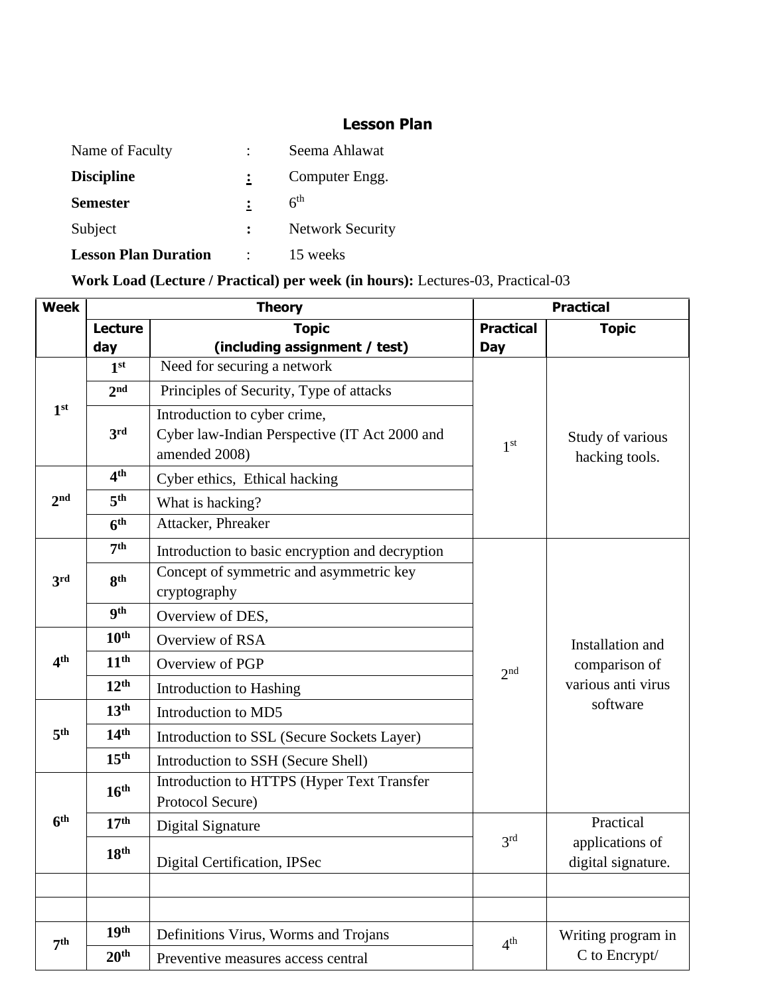## **Lesson Plan**

| Name of Faculty             |                | Seema Ahlawat           |
|-----------------------------|----------------|-------------------------|
| <b>Discipline</b>           | $\ddot{\cdot}$ | Computer Engg.          |
| <b>Semester</b>             |                | 6 <sup>th</sup>         |
| Subject                     | $\ddot{\cdot}$ | <b>Network Security</b> |
| <b>Lesson Plan Duration</b> | ٠              | 15 weeks                |

# **Work Load (Lecture / Practical) per week (in hours):** Lectures-03, Practical-03

| <b>Week</b>     | <b>Theory</b>    |                                                                                                | <b>Practical</b> |                                       |
|-----------------|------------------|------------------------------------------------------------------------------------------------|------------------|---------------------------------------|
|                 | <b>Lecture</b>   | <b>Topic</b>                                                                                   | <b>Practical</b> | <b>Topic</b>                          |
|                 | day              | (including assignment / test)                                                                  | <b>Day</b>       |                                       |
|                 | 1 <sup>st</sup>  | Need for securing a network                                                                    |                  |                                       |
|                 | 2 <sub>nd</sub>  | Principles of Security, Type of attacks                                                        |                  |                                       |
| 1 <sup>st</sup> | 3rd              | Introduction to cyber crime,<br>Cyber law-Indian Perspective (IT Act 2000 and<br>amended 2008) | 1 <sup>st</sup>  | Study of various<br>hacking tools.    |
|                 | 4 <sup>th</sup>  | Cyber ethics, Ethical hacking                                                                  |                  |                                       |
| 2 <sub>nd</sub> | 5 <sup>th</sup>  | What is hacking?                                                                               |                  |                                       |
|                 | 6 <sup>th</sup>  | Attacker, Phreaker                                                                             |                  |                                       |
|                 | 7 <sup>th</sup>  | Introduction to basic encryption and decryption                                                |                  |                                       |
| 3rd             | <b>gth</b>       | Concept of symmetric and asymmetric key                                                        |                  |                                       |
|                 |                  | cryptography                                                                                   |                  |                                       |
|                 | <b>9th</b>       | Overview of DES,                                                                               |                  |                                       |
|                 | 10 <sup>th</sup> | Overview of RSA                                                                                |                  | Installation and                      |
| 4 <sup>th</sup> | 11 <sup>th</sup> | Overview of PGP                                                                                | 2 <sup>nd</sup>  | comparison of                         |
|                 | 12 <sup>th</sup> | Introduction to Hashing                                                                        |                  | various anti virus                    |
|                 | 13 <sup>th</sup> | Introduction to MD5                                                                            |                  | software                              |
| 5 <sup>th</sup> | 14 <sup>th</sup> | Introduction to SSL (Secure Sockets Layer)                                                     |                  |                                       |
|                 | 15 <sup>th</sup> | Introduction to SSH (Secure Shell)                                                             |                  |                                       |
|                 | 16 <sup>th</sup> | Introduction to HTTPS (Hyper Text Transfer                                                     |                  |                                       |
|                 |                  | Protocol Secure)                                                                               |                  |                                       |
| 6 <sup>th</sup> | 17 <sup>th</sup> | Digital Signature                                                                              |                  | Practical                             |
|                 | 18 <sup>th</sup> | Digital Certification, IPSec                                                                   | 3 <sup>rd</sup>  | applications of<br>digital signature. |
|                 |                  |                                                                                                |                  |                                       |
|                 |                  |                                                                                                |                  |                                       |
|                 | 19 <sup>th</sup> | Definitions Virus, Worms and Trojans                                                           | 4 <sup>th</sup>  | Writing program in                    |
| 7 <sup>th</sup> | 20 <sup>th</sup> | Preventive measures access central                                                             |                  | C to Encrypt/                         |